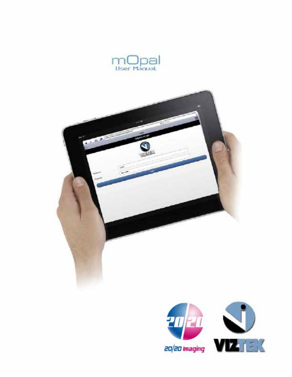



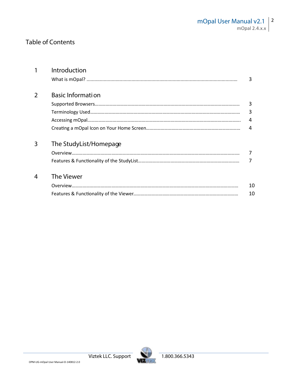# **Table of Contents**

| 1 | Introduction             |    |  |  |  |  |  |
|---|--------------------------|----|--|--|--|--|--|
|   |                          | 3  |  |  |  |  |  |
| 2 | <b>Basic Information</b> |    |  |  |  |  |  |
|   |                          | 3  |  |  |  |  |  |
|   |                          | 3  |  |  |  |  |  |
|   |                          | 4  |  |  |  |  |  |
|   |                          | 4  |  |  |  |  |  |
| 3 | The StudyList/Homepage   |    |  |  |  |  |  |
|   |                          | 7  |  |  |  |  |  |
|   |                          |    |  |  |  |  |  |
| 4 | The Viewer               |    |  |  |  |  |  |
|   |                          | 10 |  |  |  |  |  |
|   |                          | 10 |  |  |  |  |  |

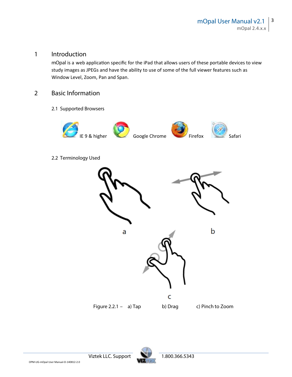### **1 Introduction**

*mOpal* is a web application specific for the iPad that allows users of these portable devices to view study images as JPEGs and have the ability to use of some of the full viewer features such as Window Level, Zoom, Pan and Span.

### **2 Basic Information**

**2.1 Supported Browsers**



**2.2 Terminology Used**





**Viztek LLC. Support 1.800.366.5343**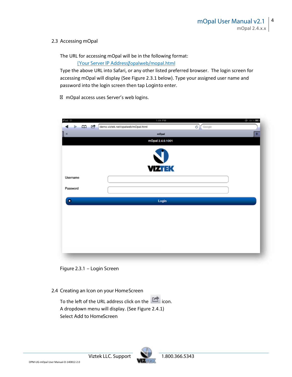### **2.3 Accessing mOpal**

The URL for accessing mOpal will be in the following format:

*{Your Server IP Address*/*}*opalweb/mopal.html

Type the above URL into Safari, or any other listed preferred browser. The login screen for accessing mOpal will display (See Figure 2.3.1 below). Type your assigned user name and password into the login screen then tap **Login**to enter.

mOpal access uses Server's web logins.

| Pad <sup>e</sup>      | 1:04 PM<br>$e$ 31%                                    |
|-----------------------|-------------------------------------------------------|
| d,<br>B               | $\sigma$ Google<br>demo.viztek.net/opalweb/mOpal.html |
| $\boldsymbol{\times}$ | ÷<br>mOpal                                            |
|                       | mOpal 2.4.0.1001                                      |
|                       |                                                       |
|                       | <b>VIZTEK</b>                                         |
| Username              |                                                       |
| Password              |                                                       |
|                       |                                                       |
| ٠                     | Login                                                 |
|                       |                                                       |
|                       |                                                       |
|                       |                                                       |
|                       |                                                       |
|                       |                                                       |
|                       |                                                       |
|                       |                                                       |



### **2.4 Creating an Icon on your HomeScreen**

To the left of the URL address click on the  $\Box$  icon. A dropdown menu will display. (See Figure 2.4.1) Select **Add to HomeScreen**

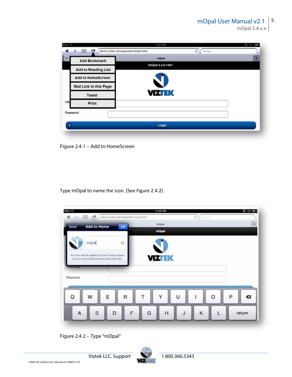mOpal 2.4.x.x

| Pad $\mathcal{P}$     |                               | 1:04 PM                                           | $ + 81$ % |
|-----------------------|-------------------------------|---------------------------------------------------|-----------|
|                       | ⅏<br>œ                        | demo.viztek.net/opalweb/mOpal.html<br>Ċ<br>Google |           |
| $\mathbb{R}^{\times}$ | <b>Add Bookmark</b>           | mOpal                                             | ÷         |
|                       | <b>Add to Reading List</b>    | mOpal 2.4.0.1001                                  |           |
|                       | <b>Add to HomeScreen</b>      |                                                   |           |
|                       | <b>Mail Link to this Page</b> |                                                   |           |
|                       | <b>Tweet</b>                  | <b>VIZTEK</b>                                     |           |
| Use                   | Print                         |                                                   |           |
| Password              |                               |                                                   |           |
| ٠                     |                               | Login                                             |           |
|                       |                               |                                                   |           |

**Figure 2.4.1 – Add to HomeScreen**

Type **mOpal** to name the icon. (See Figure 2.4.2)



**Figure 2.4.2 – Type "mOpal"**



**Viztek LLC. Support 1.800.366.5343**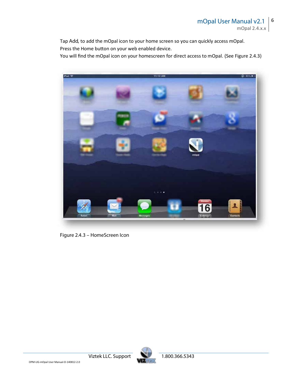Tap **Add,** to add the mOpal icon to your home screen so you can quickly access mOpal. Press the Home button on your web enabled device.

You will find the mOpal icon on your homescreen for direct access to mOpal. (See Figure 2.4.3)



**Figure 2.4.3 – HomeScreen Icon**

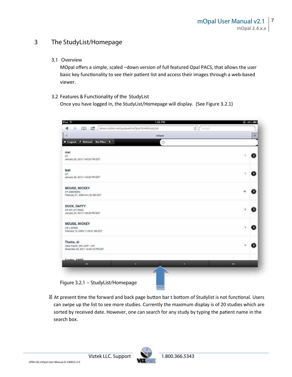## **3 The StudyList/Homepage**

**3.1 Overview**

MOpal offers a simple, scaled –down version of full featured Opal PACS, that allows the user basic key functionality to see their patient list and access their images through a web-based viewer.

**3.2 Features & Functionality of the StudyList**

Once you have logged in, the StudyList/Homepage will display. (See Figure 3.2.1)



At present time the forward and back page button bar t bottom of Studylist is not functional. Users can swipe up the list to see more studies. Currently the maximum display is of 20 studies which are sorted by received date. However, one can search for any study by typing the patient name in the search box.

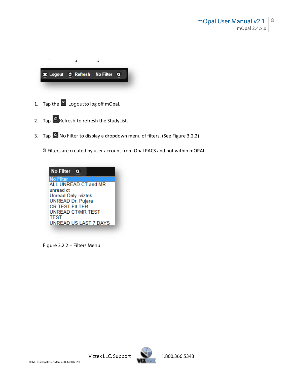

- 1. Tap the **x** Logout to log off mOpal.
- 2. Tap **C** Refresh to refresh the StudyList.
- 3. Tap **A** No Filter to display a dropdown menu of filters. (See Figure 3.2.2)

Filters are created by user account from Opal PACS and not within mOPAL.



**Figure 3.2.2 – Filters Menu**

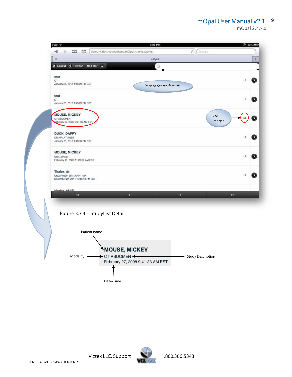#### **mOpal User Manual v2.1** 9

mOpal 2.4.x.x

|                                                                             | 1:06 PM<br>CO C demo.viztek.net/opalweb/mOpal.html#studylist | Coogle<br>¢.         | <b>@ 80%画</b> |
|-----------------------------------------------------------------------------|--------------------------------------------------------------|----------------------|---------------|
|                                                                             | mOpat                                                        |                      | Ŧ             |
| X Logout C Refresh No Filter Q.                                             | $\odot$                                                      |                      |               |
| mxr<br>ОT<br>January 20, 2012 1:43:20 PM EST                                |                                                              | 3                    | Ð             |
| test<br>OT.<br>January 20, 2012 1:43:20 PM EST                              | Patient Search feature                                       |                      |               |
| <b>MOUSE, MICKEY</b><br>CT ABDOMEN<br>February 27, 2008 9:41:33 AM EST      |                                                              | # of<br>Images       |               |
| DUCK, DAFFY<br>CR AP LAT KNEE<br>January 23, 2012 1:48:39 PM EST            |                                                              |                      |               |
| <b>MOUSE, MICKEY</b><br>CR L-SPINE<br>February 13, 2009 11:23:07 AM EST     |                                                              |                      |               |
| Thales, dr<br>UNG ProOP- DR LAPP - HIP<br>December 22, 2011 12:43:13 PM EST |                                                              |                      |               |
| Idador AMIO<br>$\sim$                                                       | ×.                                                           | ×<br>35 <sup>2</sup> |               |
|                                                                             | Figure 3.3.3 - StudyList Detail                              |                      |               |
|                                                                             | Patient name                                                 |                      |               |
|                                                                             | MOUSE, MICKEY                                                |                      |               |

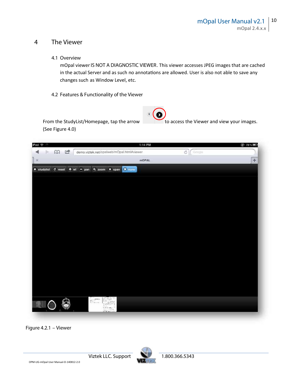### **4 The Viewer**

**4.1 Overview**

mOpal viewer*IS NOT A DIAGNOSTIC VIEWER*. This viewer accesses JPEG images that are cached in the actual Server and as such no annotations are allowed. User is also not able to save any changes such as Window Level, etc.

**4.2 Features & Functionality of the Viewer**





**Figure 4.2.1 – Viewer**

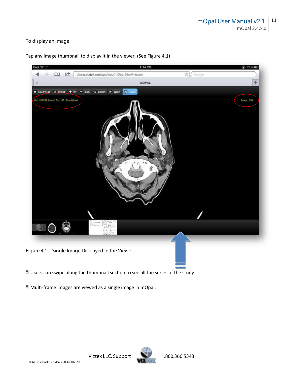### **To display an image**

Tap any image thumbnail to display it in the viewer. (See Figure 4.1)



Users can swipe along the thumbnail section to see all the series of the study.

Multi-frame Images are viewed as a single image in mOpal.

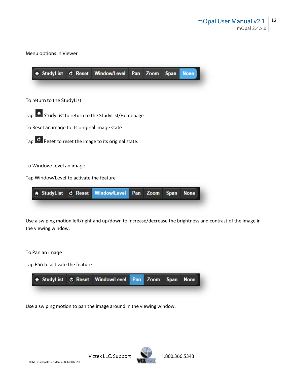**Menu options in Viewer**

|                                               |                          | A StudyList & Reset Window/Level Pan Zoom                        |     |      | <b>Span</b> | <b>None</b> |
|-----------------------------------------------|--------------------------|------------------------------------------------------------------|-----|------|-------------|-------------|
|                                               |                          |                                                                  |     |      |             |             |
| To return to the StudyList                    |                          |                                                                  |     |      |             |             |
|                                               |                          | Tap <b>1</b> Study List to return to the Study List/Homepage     |     |      |             |             |
| To Reset an image to its original image state |                          |                                                                  |     |      |             |             |
|                                               |                          | Tap $\mathbf{C}$ Reset to reset the image to its original state. |     |      |             |             |
|                                               |                          |                                                                  |     |      |             |             |
| To Window/Level an image                      |                          |                                                                  |     |      |             |             |
| Tap Window/Level to activate the feature      |                          |                                                                  |     |      |             |             |
|                                               | StudyList <b>C</b> Reset | <b>Window/Level</b>                                              | Pan | Zoom | <b>Span</b> | <b>None</b> |

Use a swiping motion left/right and up/down to increase/decrease the brightness and contrast of the image in the viewing window.

#### **To Pan an image**

Tap **Pan** to activate the feature



Use a swiping motion to pan the image around in the viewing window.